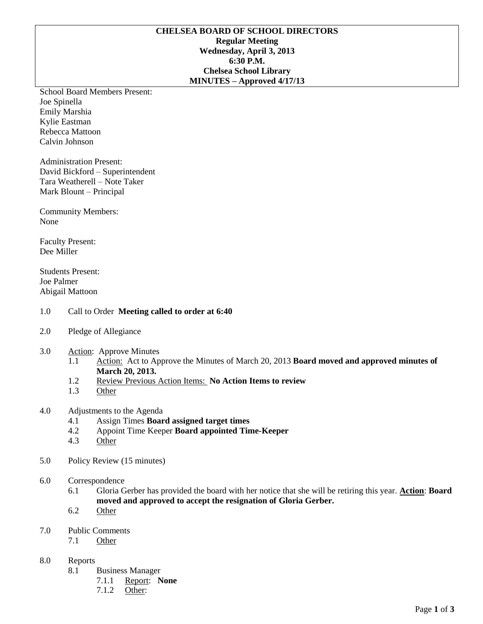## **CHELSEA BOARD OF SCHOOL DIRECTORS Regular Meeting Wednesday, April 3, 2013 6:30 P.M. Chelsea School Library MINUTES – Approved 4/17/13**

School Board Members Present: Joe Spinella Emily Marshia Kylie Eastman Rebecca Mattoon Calvin Johnson

Administration Present: David Bickford – Superintendent Tara Weatherell – Note Taker Mark Blount – Principal

Community Members: None

Faculty Present: Dee Miller

Students Present: Joe Palmer Abigail Mattoon

## 1.0 Call to Order **Meeting called to order at 6:40**

- 2.0 Pledge of Allegiance
- 3.0 Action: Approve Minutes
	- 1.1 Action: Act to Approve the Minutes of March 20, 2013 **Board moved and approved minutes of March 20, 2013.**
	- 1.2 Review Previous Action Items: **No Action Items to review**
	- 1.3 Other

## 4.0 Adjustments to the Agenda

- 4.1 Assign Times **Board assigned target times**
- 4.2 Appoint Time Keeper **Board appointed Time-Keeper**
- 4.3 Other
- 5.0 Policy Review (15 minutes)
- 6.0 Correspondence
	- 6.1 Gloria Gerber has provided the board with her notice that she will be retiring this year. **Action**: **Board moved and approved to accept the resignation of Gloria Gerber.**
	- 6.2 Other
- 7.0 Public Comments
	- 7.1 Other
- 8.0 Reports
	- 8.1 Business Manager
		- 7.1.1 Report: **None**
		- 7.1.2 Other: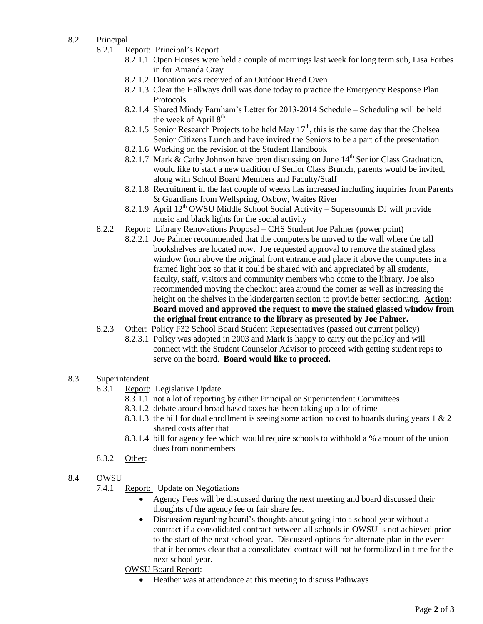- 8.2 Principal
	- 8.2.1 Report: Principal's Report
		- 8.2.1.1 Open Houses were held a couple of mornings last week for long term sub, Lisa Forbes in for Amanda Gray
		- 8.2.1.2 Donation was received of an Outdoor Bread Oven
		- 8.2.1.3 Clear the Hallways drill was done today to practice the Emergency Response Plan Protocols.
		- 8.2.1.4 Shared Mindy Farnham's Letter for 2013-2014 Schedule Scheduling will be held the week of April  $8<sup>th</sup>$
		- 8.2.1.5 Senior Research Projects to be held May  $17<sup>th</sup>$ , this is the same day that the Chelsea Senior Citizens Lunch and have invited the Seniors to be a part of the presentation
		- 8.2.1.6 Working on the revision of the Student Handbook
		- 8.2.1.7 Mark & Cathy Johnson have been discussing on June  $14<sup>th</sup>$  Senior Class Graduation, would like to start a new tradition of Senior Class Brunch, parents would be invited, along with School Board Members and Faculty/Staff
		- 8.2.1.8 Recruitment in the last couple of weeks has increased including inquiries from Parents & Guardians from Wellspring, Oxbow, Waites River
		- 8.2.1.9 April  $12<sup>th</sup>$  OWSU Middle School Social Activity Supersounds DJ will provide music and black lights for the social activity
	- 8.2.2 Report: Library Renovations Proposal CHS Student Joe Palmer (power point)
		- 8.2.2.1 Joe Palmer recommended that the computers be moved to the wall where the tall bookshelves are located now. Joe requested approval to remove the stained glass window from above the original front entrance and place it above the computers in a framed light box so that it could be shared with and appreciated by all students, faculty, staff, visitors and community members who come to the library. Joe also recommended moving the checkout area around the corner as well as increasing the height on the shelves in the kindergarten section to provide better sectioning. **Action**: **Board moved and approved the request to move the stained glassed window from the original front entrance to the library as presented by Joe Palmer.**
	- 8.2.3 Other: Policy F32 School Board Student Representatives (passed out current policy)
		- 8.2.3.1 Policy was adopted in 2003 and Mark is happy to carry out the policy and will connect with the Student Counselor Advisor to proceed with getting student reps to serve on the board. **Board would like to proceed.**
- 8.3 Superintendent
	- 8.3.1 Report: Legislative Update
		- 8.3.1.1 not a lot of reporting by either Principal or Superintendent Committees
		- 8.3.1.2 debate around broad based taxes has been taking up a lot of time
		- 8.3.1.3 the bill for dual enrollment is seeing some action no cost to boards during years 1 & 2 shared costs after that
		- 8.3.1.4 bill for agency fee which would require schools to withhold a % amount of the union dues from nonmembers
	- 8.3.2 Other:
- 8.4 OWSU
	- 7.4.1 Report: Update on Negotiations
		- Agency Fees will be discussed during the next meeting and board discussed their thoughts of the agency fee or fair share fee.
		- Discussion regarding board's thoughts about going into a school year without a contract if a consolidated contract between all schools in OWSU is not achieved prior to the start of the next school year. Discussed options for alternate plan in the event that it becomes clear that a consolidated contract will not be formalized in time for the next school year.
		- OWSU Board Report:
			- Heather was at attendance at this meeting to discuss Pathways